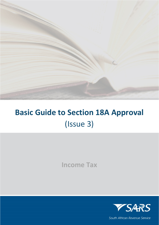

# **Basic Guide to Section 18A Approval** (Issue 3)

**Income Tax**



South African Revenue Service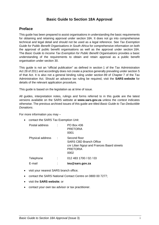### **Basic Guide to Section 18A Approval**

### <span id="page-1-0"></span>**Preface**

This guide has been prepared to assist organisations in understanding the basic requirements for obtaining and retaining approval under section 18A. It does not go into comprehensive technical and legal detail and should not be used as a legal reference. See *Tax Exemption Guide for Public Benefit Organisations in South Africa* for comprehensive information on both the approval of public benefit organisations as well as the approval under section 18A. The *Basic Guide to Income Tax Exemption for Public Benefit Organisations* provides a basic understanding of the requirements to obtain and retain approval as a public benefit organisation under section 30.

This guide is not an "official publication" as defined in section 1 of the Tax Administration Act 28 of 2011 and accordingly does not create a practice generally prevailing under section 5 of that Act. It is also not a general binding ruling under section 89 of Chapter 7 of the Tax Administration Act. Should an advance tax ruling be required, visit the **SARS [website](http://www.sars.gov.za/)** for details of the relevant application procedure.

This guide is based on the legislation as at time of issue.

All guides, interpretation notes, rulings and forms referred to in this guide are the latest versions available on the SARS website at **[www.sars.gov.za](http://www.sars.gov.za/)** unless the context indicates otherwise. The previous archived issues of this guide are titled *Basic Guide to Tax-Deductible Donations*.

For more information you may –

• contact the SARS Tax Exemption Unit:

| Postal address   |     | <b>PO Box 436</b><br><b>PRETORIA</b><br>0001                                                                           |
|------------------|-----|------------------------------------------------------------------------------------------------------------------------|
| Physical address | - 1 | Second floor<br><b>SARS CBD Branch Office</b><br>chr Lilian Ngoyi and Frances Baard streets<br><b>PRETORIA</b><br>0002 |
| Telephone        |     | 012 483 1700 / 02 / 03                                                                                                 |
| E-mail           |     | teu@sars.gov.za                                                                                                        |

- visit your nearest SARS branch office;
- contact the SARS National Contact Centre on 0800 00 7277;
- visit the **[SARS website](http://www.sars.gov.za/)**; or
- contact your own tax advisor or tax practitioner.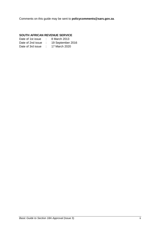Comments on this guide may be sent to **[policycomments@sars.gov.za](mailto:policycomments@sars.gov.za)**.

#### **SOUTH AFRICAN REVENUE SERVICE**

| Date of 1st issue | <b>P</b>        | 8 March 2013      |
|-------------------|-----------------|-------------------|
| Date of 2nd issue | $\mathcal{L}$   | 19 September 2016 |
| Date of 3rd issue | <b>Contract</b> | 17 March 2020     |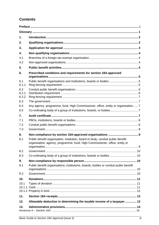# **Contents**

| 1.             |                                                                                                                                                                |  |  |  |
|----------------|----------------------------------------------------------------------------------------------------------------------------------------------------------------|--|--|--|
| 2.             |                                                                                                                                                                |  |  |  |
| 3.             |                                                                                                                                                                |  |  |  |
| 4.             |                                                                                                                                                                |  |  |  |
| 4.1            |                                                                                                                                                                |  |  |  |
| 4.2            |                                                                                                                                                                |  |  |  |
| 5.             |                                                                                                                                                                |  |  |  |
| 6.             | Prescribed conditions and requirements for section 18A-approved                                                                                                |  |  |  |
| 6.1            |                                                                                                                                                                |  |  |  |
| 6.1.1          |                                                                                                                                                                |  |  |  |
| 6.2            |                                                                                                                                                                |  |  |  |
| 6.2.1<br>6.2.2 |                                                                                                                                                                |  |  |  |
| 6.3            |                                                                                                                                                                |  |  |  |
| 6.4            | Any agency, programme, fund, High Commissioner, office, entity or organisation 7                                                                               |  |  |  |
| 6.5            |                                                                                                                                                                |  |  |  |
| 7.             |                                                                                                                                                                |  |  |  |
| 7.1            |                                                                                                                                                                |  |  |  |
| 7.2            |                                                                                                                                                                |  |  |  |
| 7.3            |                                                                                                                                                                |  |  |  |
| 8.             |                                                                                                                                                                |  |  |  |
| 8.1            | Public benefit organisation, institution, board or body, conduit public benefit<br>organisation, agency, programme, fund, High Commissioner, office, entity or |  |  |  |
| 8.2            |                                                                                                                                                                |  |  |  |
| 8.3            | Co-ordinating body of a group of institutions, boards or bodies  10                                                                                            |  |  |  |
| 9.             |                                                                                                                                                                |  |  |  |
| 9.1            | Public benefit organisations, institutions, boards, bodies or conduit public benefit                                                                           |  |  |  |
| 9.2            |                                                                                                                                                                |  |  |  |
| 10.            |                                                                                                                                                                |  |  |  |
| 10.1           |                                                                                                                                                                |  |  |  |
| 11.            |                                                                                                                                                                |  |  |  |
| 12.            | Allowable deduction in determining the taxable income of a taxpayer 13                                                                                         |  |  |  |
| 13.            |                                                                                                                                                                |  |  |  |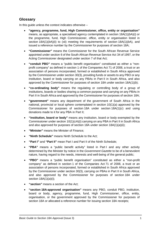## <span id="page-5-0"></span>**Glossary**

In this guide unless the context indicates otherwise –

- **"agency, programme, fund, High Commissioner, office, entity or organisation"** means, as appropriate, a specialised agency contemplated in section 18A(1)(*b*A)(i) or the programme, fund, High Commissioner, office, entity or organisation listed in section 18A(1)(*b*A)(ii) to (xii) meeting the requirements of section 18A(1)(*b*A), and issued a reference number by the Commissioner for purposes of section 18A;
- **"Commissioner"** means the Commissioner for the South African Revenue Service appointed under section 6 of the South African Revenue Service Act 34 of 1997, or the Acting Commissioner designated under section 7 of that Act;
- **"conduit PBO"** means a "public benefit organisation" constituted as either a "nonprofit company" as defined in section 1 of the Companies Act 71 of 2008, a trust or an association of persons incorporated, formed or established in South Africa approved by the Commissioner under section 30(3), providing funds or assets to any PBO or any institution, board or body carrying on any PBAs in Part II in South Africa, and also approved by the Commissioner for purposes of section 18A under section 18A(1)(*b*);
- **"co-ordinating body"** means the regulating or controlling body of a group of institutions, boards or bodies sharing a common purpose and carrying on any PBAs in Part II in South Africa and approved by the Commissioner for purposes of section 18A;
- **"government"** means any department of the government of South Africa in the national, provincial or local sphere contemplated in section 10(1)(*a*) approved by the Commissioner for purposes of section 18A under section 18A(1)(*c*) and using donations made to it for any PBA in Part II;
- **"institution, board or body"** means any institution, board or body exempted by the Commissioner under section 10(1)(*c*A)(i) carrying on any PBA in Part II in South Africa and also approved for purposes of section 18A under section 18A(1)(*a*)(ii);
- **"Minister"** means the Minister of Finance;
- **"Ninth Schedule"** means Ninth Schedule to the Act;
- **"Part I"** and **"Part II"** mean Part I and Part II of the Ninth Schedule;
- **"PBA"** means a "public benefit activity" listed in Part I and any other activity determined by the Minister by notice in the *Government Gazette* to be of a benevolent nature, having regard to the needs, interests and well-being of the general public;
- **"PBO"** means a "public benefit organisation" constituted as either a "non-profit company" as defined in section 1 of the Companies Act 71 of 2008, a trust or an association of persons incorporated, formed or established in South Africa approved by the Commissioner under section 30(3), carrying on PBAs in Part II in South Africa, and also approved by the Commissioner for purposes of section 18A under section 18A(1)(*a*)(i);
- **"section"** means a section of the Act;
- **"section 18A-approved organisation"** means any PBO, conduit PBO, institution, board or body, agency, programme, fund, High Commissioner, office, entity, organisation, or the government approved by the Commissioner for purposes of section 18A or allocated a reference number for issuing section 18A receipts;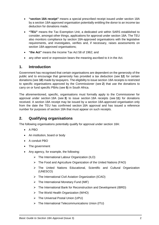- **"section 18A receipt"** means a special prescribed receipt issued under section 18A by a section 18A-approved organisation potentially entitling the donor to an income tax deduction for donations made;
- **"TEU"** means the Tax Exemption Unit, a dedicated unit within SARS established to consider, amongst other things, applications for approval under section 18A. The TEU also monitors compliance by section 18A-approved organisations with the legislative requirements, and investigates, verifies and, if necessary, raises assessments on section 18A-approved organisations;
- **"the Act"** means the Income Tax Act 58 of 1962; and
- any other word or expression bears the meaning ascribed to it in the Act.

### <span id="page-6-0"></span>**1. Introduction**

Government has recognised that certain organisations are dependent on the generosity of the public and to encourage that generosity has provided a tax deduction (see **[12](#page-17-1)**) for certain donations (see **[10](#page-15-0)**) made by taxpayers. The eligibility to issue section 18A receipts is restricted to specific organisations approved by the Commissioner (see **[2](#page-6-1)**) that use the donations to carry on or fund specific PBAs (see **[5](#page-8-3)**) in South Africa.

The aforementioned, specific, organisations must formally apply to the Commissioner for approval under section 18A (see **[3](#page-7-0)**) to issue section 18A receipts (see **[11](#page-17-0)**) for donations received. A section 18A receipt may be issued by a section 18A-approved organisation only from the date the TEU has confirmed section 18A approval and has issued a reference number for purposes of section 18A that must appear on such receipts.

### <span id="page-6-1"></span>**2. Qualifying organisations**

The following organisations potentially qualify for approval under section 18A:

- A PBO
- An institution, board or body
- A conduit PBO
- The government
- Any agency, for example, the following:
	- $\triangleright$  The International Labour Organization (ILO)
	- $\triangleright$  The Food and Agriculture Organization of the United Nations (FAO)
	- The United Nations Educational, Scientific and Cultural Organization (UNESCO)
	- The International Civil Aviation Organization (ICAO)
	- $\triangleright$  The International Monetary Fund (IMF)
	- $\triangleright$  The International Bank for Reconstruction and Development (IBRD)
	- $\triangleright$  The World Health Organization (WHO)
	- The Universal Postal Union (UPU)
	- $\triangleright$  The International Telecommunications Union (ITU)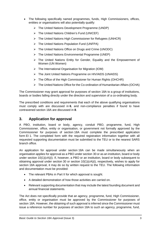- The following specifically named programmes, funds, High Commissioners, offices, entities or organisations will also potentially qualify:
	- The United Nations Development Programme (UNDP)
	- The United Nations Children's Fund (UNICEF)
	- The United Nations High Commissioner for Refugees (UNHCR)
	- $\triangleright$  The United Nations Population Fund (UNFPA)
	- The United Nations Office on Drugs and Crime (UNODC)
	- $\triangleright$  The United Nations Environmental Programme (UNEP)
	- > The United Nations Entity for Gender, Equality and the Empowerment of Women (UN Women)
	- $\triangleright$  The International Organisation for Migration (IOM)
	- The Joint United Nations Programme on HIV/AIDS (UNAIDS)
	- $\triangleright$  The Office of the High Commissioner for Human Rights (OHCHR)
	- $\triangleright$  The United Nations Office for the Co-ordination of Humanitarian Affairs (OCHA)

The Commissioner may grant approval for purposes of section 18A to a group of institutions, boards or bodies falling directly under the direction and supervision of a co-ordinating body.

The prescribed conditions and requirements that each of the above qualifying organisations must comply with are discussed in **[6](#page-9-0)**, and non-compliance penalties if found to have contravened section 18A are discussed in **[8](#page-13-0)**.

### <span id="page-7-0"></span>**3. Application for approval**

A PBO, institution, board or body, agency, conduit PBO, programme, fund, High Commissioner, office, entity or organisation, or government not formally approved by the Commissioner for purposes of section 18A must complete the prescribed application form EI 1. The completed form with the required registration information together with all requested supporting documentation must be submitted to the TEU or to the nearest SARS branch office.

An application for approval under section 18A can be made simultaneously when an organisation applies for approval as a PBO under section 30 or as an institution, board or body under section 10(1)(*c*A)(i). If, however, a PBO or an institution, board or body subsequent to obtaining approval under section 30 or section 10(1)(*c*A)(i), respectively, wishes to apply for section 18A approval, it may do so by written request to the TEU. The following information and documentation must be provided:

- The relevant PBAs in Part II for which approval is sought.
- A detailed demonstration of how those activities are carried on.
- Relevant supporting documentation that may include the latest founding document and annual financial statements.

The Act does not specifically provide that an agency, programme, fund, High Commissioner, office, entity or organisation must be approved by the Commissioner for purposes of section 18A. However, the obtaining of such approval is inferred since the Commissioner must issue a reference number for purposes of section 18A to such an agency, programme, fund,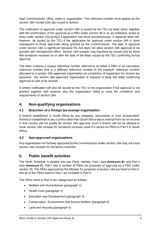High Commissioner, office, entity or organisation. This reference number must appear on the section 18A receipt (see **[11](#page-17-0)**) issued to donors.

The notification of approval under section 18A is issued by the TEU by letter either together with the confirmation of the approval as a PBO under section 30 or as an institution, board or body under section 10(1)(*c*A)(i) if application was done simultaneously. A separate letter will, however, be issued by the TEU if the application for approval under section 18A is done subsequent to those approvals being granted by the Commissioner. The date of approval under section 18A is significant because the Act does not allow section 18A approval to be granted with retrospective effect. Section 18A receipts may therefore be issued only for *bona fide* donations received on or after the date of the letter issued by the TEU confirming formal approval.

The letter contains a unique reference number referred to as either a PBO or an exemption reference number that is a different reference number to the taxpayer reference number allocated to a section 18A-approved organisation on completion of registration for income tax purposes. The section 18A-approved organisation is required to keep this letter confirming approval as part of its records.

A written notification will also be issued by the TEU to the organisation if the approval is not granted together with reasons why the organisation failed to meet the conditions and requirements of section 18A.

### <span id="page-8-0"></span>**4. Non-qualifying organisations**

#### <span id="page-8-1"></span>**4.1 Branches of a foreign tax-exempt organisation**

A branch established in South Africa by any company, association or trust incorporated, formed or established in any country other than South Africa that is exempt from tax on income in that country will not qualify for section 18A approval. Such a branch will not be allowed to issue section 18A receipts for donations received, even if it carries on PBAs in Part II in South Africa.

#### <span id="page-8-2"></span>**4.2 Non-approved organisations**

Any organisation not formally approved by the Commissioner under section 18A may not issue section 18A receipts for donations received.

## <span id="page-8-3"></span>**5. Public benefit activities**

The Ninth Schedule is divided into two Parts, namely, Part I (see **[Annexure](#page-27-0) B**) and Part II (see **[Annexure](#page-32-0) C**). Part I lists a number of PBAs for purposes of approval as a PBO under section 30. The PBAs approved by the Minister for purposes of section 18A are listed in Part II. Not all of the PBAs listed in Part I are included in Part II.

The PBAs listed in Part II are categorised as follows:

- Welfare and Humanitarian (paragraph 1)
- Health Care (paragraph 2)
- Education and Development (paragraph 3)
- Conservation, Environment and Animal Welfare (paragraph 4)
- Land and Housing (paragraph 5)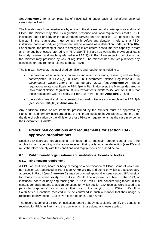See **[Annexure](#page-32-0) C** for a complete list of PBAs falling under each of the aforementioned categories in Part II.

The Minister may from time-to-time by notice in the *Government Gazette* approve additional PBAs. The Minister may also, by regulation, prescribe additional requirements that a PBO, institution, board or body or the government carrying on any specific PBA identified by the Minister in the regulations, must comply with before any donation made to that PBO, institution, board or body or government will be allowed as a deduction under section 18A. For example, the granting of loans to emerging micro enterprises to improve capacity to start and manage businesses referred to in PBA (1)(*p*)(iii) in Part II as well as the provision of loans for study, research and teaching referred to in PBA 3(*o*) in Part II are subject to conditions that the Minister may prescribe by way of regulation. The Minister has not yet published any conditions or requirements relating to those PBAs.

The Minister, however, has published conditions and requirements relating to  $-$ 

- the provision of scholarships, bursaries and awards for study, research, and teaching contemplated in PBA 4(*o*) in Part I in Government Notice Regulation 302 in *Government Gazette* 24941 of 28 February 2003 (see **[Annexure](#page-35-0) D**). These regulations relate specifically to PBA 4(*o*) in Part I. However, the Minister declared in Government Notice Regulation 333 in *Government Gazette* 27455 of 8 April 2005 that those regulations will also apply to PBA 3(*o*) in Part II (see **[Annexure](#page-37-0) E**); and
- the establishment and management of a transfrontier area contemplated in PBA 4(*d*) (see section 18A(1C) in **[Annexure](#page-20-0) A**).

Any additional PBAs or requirements prescribed by the Minister must be approved by Parliament and formally incorporated into the Ninth Schedule to the Act within 12 months after the date of publication by the Minister of those PBAs or requirements, as the case may be, in the *Government Gazette*.

## <span id="page-9-0"></span>**6. Prescribed conditions and requirements for section 18Aapproved organisations**

Section 18A-approved organisations are required to maintain proper control over the application and spending of donations received that qualify for a tax deduction (see **[12](#page-17-1)**) and must therefore comply with the conditions and requirements discussed below.

### <span id="page-9-1"></span>**6.1 Public benefit organisations and institutions, boards or bodies**

#### <span id="page-9-2"></span>**6.1.1 Ring-fencing requirement**

A PBO, or institution, board or body carrying on a combination of PBAs, some of which are non-section 18A-approved in Part I (see **[Annexure](#page-27-0) B**), and some of which are section 18Aapproved in Part II (see **[Annexure](#page-32-0) C**), may be granted approval to issue section 18A receipts for donations received **solely** for PBAs in Part II. The approval is subject to the PBO, or institution, board or body ring-fencing the PBAs in Part II. The concept "ring-fence" in this context generally means to assign donations for which section 18A receipts were issued to a particular purpose, so as to restrict their use to the carrying on of PBAs in Part II in South Africa. Donations received must be controlled in such a manner that their usage is restricted to only those PBAs in Part II carried on in South Africa.

The record-keeping of a PBO, or institution, board or body must clearly identify the donations received for PBAs in Part II and the use to which those donations were applied.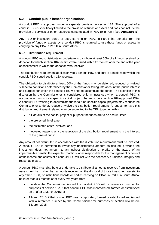#### <span id="page-10-0"></span>**6.2 Conduit public benefit organisations**

A conduit PBO is approved under a separate provision in section 18A. The approval of a conduit PBO is specifically limited to the provision of funds or assets and does not include the provision of services or other resources contemplated in PBA 10 in Part I (see **[Annexure](#page-27-0) B**).

Any PBO or institution, board or body carrying on PBAs in Part II that benefits from the provision of funds or assets by a conduit PBO is required to use those funds or assets in carrying on any PBA in Part II in South Africa.

#### <span id="page-10-1"></span>**6.2.1 Distribution requirement**

A conduit PBO must distribute or undertake to distribute at least 50% of all funds received by donation for which section 18A receipts were issued within 12 months after the end of the year of assessment in which the donation was received.

The distribution requirement applies only to a conduit PBO and only to donations for which the conduit PBO issued section 18A receipts.

The obligation to distribute at least 50% of the funds may be deferred, reduced or waived subject to conditions determined by the Commissioner taking into account the public interest and purpose for which the conduit PBO wished to accumulate the funds. The exercise of this discretion by the Commissioner is considered only in instances when a conduit PBO is accumulating funds for a specific capital project, that must be a section 18A-approved PBA. A conduit PBO wishing to accumulate funds to fund specific capital projects may request the Commissioner to defer, reduce or waive the distribution requirement. A request to have this distribution requirement relaxed may be submitted to the TEU together with –

- full details of the capital project or purpose the funds are to be accumulated;
- the projected timeframe;
- the estimated costs involved; and
- motivated reasons why the relaxation of the distribution requirement is in the interest of the general public.

Any amount not distributed in accordance with the distribution requirement must be invested. A conduit PBO is permitted to invest any undistributed amount as desired, provided the investment does not amount to an indirect distribution of profits or the award of an impermissible benefit. It is expected that fiduciaries responsible for the management or control of the income and assets of a conduit PBO will act with the necessary prudence, integrity and reasonable care.

A conduit PBO must distribute or undertake to distribute all amounts received from investment assets held by it, other than amounts received on the disposal of those investment assets, to any other PBOs, or institutions boards or bodies carrying on PBAs in Part II in South Africa, no later than six months after every five years from –

- the date the Commissioner issued the conduit PBO with a reference number for purposes of section 18A, if that conduit PBO was incorporated, formed or established on or after 1 March 2015; or
- 1 March 2015, if that conduit PBO was incorporated, formed or established and issued with a reference number by the Commissioner for purposes of section 18A before 1 March 2015.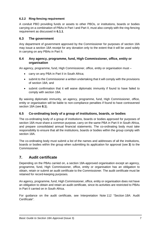#### <span id="page-11-0"></span>**6.2.2 Ring-fencing requirement**

A conduit PBO providing funds or assets to other PBOs, or institutions, boards or bodies carrying on a combination of PBAs in Part I and Part II, must also comply with the ring-fencing requirement as discussed in **[6.1.1](#page-9-2)**.

#### <span id="page-11-1"></span>**6.3 The government**

Any department of government approved by the Commissioner for purposes of section 18A may issue a section 18A receipt for any donation only to the extent that it will be used solely in carrying on any PBAs in Part II.

#### <span id="page-11-2"></span>**6.4 Any agency, programme, fund, High Commissioner, office, entity or organisation**

An agency, programme, fund, High Commissioner, office, entity or organisation must –

- carry on any PBA in Part II in South Africa;
- submit to the Commissioner a written undertaking that it will comply with the provisions of section 18A; and
- submit confirmation that it will waive diplomatic immunity if found to have failed to comply with section 18A.

By waiving diplomatic immunity, an agency, programme, fund, High Commissioner, office, entity or organisation will be liable to non-compliance penalties if found to have contravened section 18A (see **[8.1](#page-13-1)**).

#### <span id="page-11-3"></span>**6.5 Co-ordinating body of a group of institutions, boards, or bodies**

The co-ordinating body of a group of institutions, boards or bodies approved for purposes of section 18A must share a common purpose, carry on the same PBA in Part II in South Africa, and prepare consolidated annual financial statements. The co-ordinating body must take responsibility to ensure that all the institutions, boards or bodies within the group comply with section 18A.

The co-ordinating body must submit a list of the names and addresses of all the institutions, boards or bodies within the group when submitting its application for approval (see **[3](#page-7-0)**) to the Commissioner.

### <span id="page-11-4"></span>**7. Audit certificate**

Depending on the PBAs carried on, a section 18A-approved organisation except an agency, programme, fund, High Commissioner, office, entity or organisation has an obligation to obtain, retain or submit an audit certificate to the Commissioner. The audit certificate must be retained for record-keeping purposes.

An agency, programme, fund, High Commissioner, office, entity or organisation does not have an obligation to obtain and retain an audit certificate, since its activities are restricted to PBAs in Part II carried on in South Africa.

For guidance on the audit certificate, see Interpretation Note 112 "Section 18A: Audit Certificate".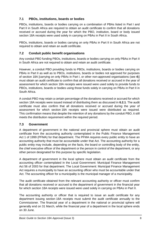### <span id="page-12-0"></span>**7.1 PBOs, institutions, boards or bodies**

PBOs, institutions, boards or bodies carrying on a combination of PBAs listed in Part I and Part II in South Africa are required to obtain an audit certificate to confirm that all donations received or accrued during the year for which the PBO, institution, board or body issued section 18A receipts were used solely in carrying on PBAs in Part II in South Africa.

PBOs, institutions, boards or bodies carrying on only PBAs in Part II in South Africa are not required to obtain and retain an audit certificate.

### <span id="page-12-1"></span>**7.2 Conduit public benefit organisations**

Any conduit PBO funding PBOs, institutions, boards or bodies carrying on only PBAs in Part II in South Africa are not required to obtain and retain an audit certificate.

However, a conduit PBO providing funds to PBOs, institutions, boards or bodies carrying on PBAs in Part II as well as to PBOs, institutions, boards or bodies not approved for purposes of section 18A [carrying on only PBAs in Part I, or other non-approved organisations (see **[4](#page-8-0)**)] must obtain an audit certificate to confirm that all donations received or accrued in the year of assessment for which section 18A receipts were issued were used solely to provide funds to PBOs, institutions, boards or bodies using those funds solely in carrying on PBAs in Part II in South Africa.

A conduit PBO may retain a certain percentage of the donations received or accrued for which section 18A receipts were issued instead of distributing them as discussed in **[6.2.1](#page-10-1)**. The audit certificate must also confirm that all donations received or accrued during the year of assessment for which section 18A receipts were issued were distributed as required. This confirmation means that despite the retention of any donations by the conduit PBO, it still meets the distribution requirement within the required period.

#### <span id="page-12-2"></span>**7.3 Government**

A department of government in the national and provincial sphere must obtain an audit certificate from the accounting authority contemplated in the Public Finance Management Act 1 of 1999 (PFMA) for that department. The PFMA requires every public entity to have an accounting authority that must be accountable under that Act. The accounting authority for a public entity may include, depending on the facts, the board or controlling body of the entity, the chief executive officer of the department or the person in control of the department, or any other person designated for this purpose by specific legislation.

A department of government in the local sphere must obtain an audit certificate from the accounting officer contemplated in the Local Government: Municipal Finance Management Act 56 of 2003 for that department. The Local Government: Municipal Finance Management Act requires a municipality to have an accounting officer who must be accountable under that Act. The accounting officer for a municipality is the municipal manager of a municipality.

The audit certificate obtained from the relevant accounting authority or officer must confirm that all donations received or accrued to the department of government in the financial year for which section 18A receipts were issued were used solely in carrying on PBAs in Part II.

The accounting authority or officer that is required to issue an audit certificate for any department issuing section 18A receipts must submit the audit certificate annually to the Commissioner. The financial year of a department in the national or provincial sphere will generally end on 31 March, while the financial year of a department in the local sphere ends on 30 June.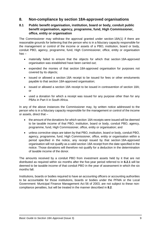### <span id="page-13-0"></span>**8. Non-compliance by section 18A-approved organisations**

#### <span id="page-13-1"></span>**8.1 Public benefit organisation, institution, board or body, conduit public benefit organisation, agency, programme, fund, High Commissioner, office, entity or organisation**

The Commissioner may withdraw the approval granted under section 18A(1) if there are reasonable grounds for believing that the person who is in a fiduciary capacity responsible for the management or control of the income or assets of a PBO, institution, board or body, conduit PBO, agency, programme, fund, High Commissioner, office, entity or organisation has –

- materially failed to ensure that the objects for which that section 18A-approved organisation was established have been carried out;
- expended the monies of that section 18A-approved organisation for purposes not covered by its objects;
- issued or allowed a section 18A receipt to be issued for fees or other emoluments payable to that section 18A-approved organisation;
- issued or allowed a section 18A receipt to be issued in contravention of section 18A; or
- used a donation for which a receipt was issued for any purpose other than for any PBAs in Part II in South Africa.

In any of the above instances the Commissioner may, by written notice addressed to the person who is in a fiduciary capacity responsible for the management or control of the income or assets, direct that –

- the amount of the donations for which section 18A receipts were issued will be deemed to be taxable income of that PBO, institution, board or body, conduit PBO, agency, programme, fund, High Commissioner, office, entity or organisation; and
- unless corrective steps are taken by that PBO, institution, board or body, conduit PBO, agency, programme, fund, High Commissioner, office, entity or organisation within a period specified in the notice, any receipt issued by that section 18A-approved organisation will not qualify as a valid section 18A receipt from the date specified in the notice. Those donations will therefore not qualify for a deduction in the determination of taxable income of the donor.

The amounts received by a conduit PBO from investment assets held by it that are not distributed as required within six months after the five-year period referred to in **[6.2.1](#page-10-1)** will be deemed to be taxable income of that conduit PBO in the year of assessment in which the six months fall.

Institutions, boards or bodies required to have an accounting officers or accounting authorities to be accountable for those institutions, boards or bodies under the PFMA or the Local Government: Municipal Finance Management Act 56 of 2003, are not subject to these noncompliance penalties, but will be treated in the manner described in **[8.2](#page-14-0)**.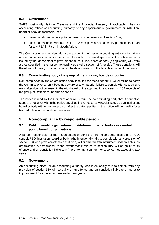### <span id="page-14-0"></span>**8.2 Government**

SARS must notify National Treasury and the Provincial Treasury (if applicable) when an accounting officer or accounting authority of any department of government or institution, board or body (if applicable) has –

- issued or allowed a receipt to be issued in contravention of section 18A; or
- used a donation for which a section 18A receipt was issued for any purpose other than for any PBA in Part II in South Africa.

The Commissioner may also inform the accounting officer or accounting authority by written notice that, unless corrective steps are taken within the period specified in the notice, receipts issued by that department of government or institution, board or body (if applicable) will, from a date specified in the notice, not qualify as a valid section 18A receipt. Those donations will therefore not qualify for a deduction in the determination of the taxable income of the donor.

#### <span id="page-14-1"></span>**8.3 Co-ordinating body of a group of institutions, boards or bodies**

Non-compliance by the co-ordinating body in taking the steps set out in **[6.5](#page-11-3)** or failing to notify the Commissioner when it becomes aware of any material failure to comply with section 18A may, after due notice, result in the withdrawal of the approval to issue section 18A receipts of the group of institutions, boards or bodies.

The notice issued by the Commissioner will inform the co-ordinating body that if corrective steps are not taken within the period specified in the notice, any receipt issued by an institution, board or body within the group on or after the date specified in the notice will not qualify for a tax deduction in the hands of the donor.

### <span id="page-14-2"></span>**9. Non-compliance by responsible person**

#### <span id="page-14-3"></span>**9.1 Public benefit organisations, institutions, boards, bodies or conduit public benefit organisations**

A person responsible for the management or control of the income and assets of a PBO, conduit PBO, institution, board or body, who intentionally fails to comply with any provision of section 18A or a provision of the constitution, will or other written instrument under which such organisation is established, to the extent that it relates to section 18A, will be guilty of an offence and on conviction liable to a fine or to imprisonment for a period not exceeding two years.

#### <span id="page-14-4"></span>**9.2 Government**

An accounting officer or an accounting authority who intentionally fails to comply with any provision of section 18A will be guilty of an offence and on conviction liable to a fine or to imprisonment for a period not exceeding two years.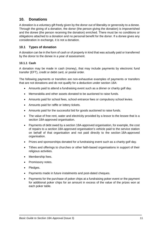### <span id="page-15-0"></span>**10. Donations**

A donation is a voluntary gift freely given by the donor out of liberality or generosity to a donee. Through the giving of a donation, the donor (the person giving the donation) is impoverished and the donee (the person receiving the donation) enriched. There must be no conditions or obligations attached to a donation and no personal benefit for the donor. If a donee gives any consideration in exchange, it is not a donation.

#### <span id="page-15-1"></span>**10.1 Types of donation**

A donation can be in the form of cash or of property in kind that was actually paid or transferred by the donor to the donee in a year of assessment.

#### <span id="page-15-2"></span>**10.1.1 Cash**

A donation may be made in cash (money), that may include payments by electronic fund transfer (EFT), credit or debit card, or postal order.

The following payments or transfers are non-exhaustive examples of payments or transfers that are not donations and do not qualify for a deduction under section 18A:

- Amounts paid to attend a fundraising event such as a dinner or charity golf day.
- Memorabilia and other assets donated to be auctioned to raise funds.
- Amounts paid for school fees, school entrance fees or compulsory school levies.
- Amounts paid for raffle or lottery tickets.
- Amounts paid for the successful bid for goods auctioned to raise funds.
- The value of free rent, water and electricity provided by a lessor to the lessee that is a section 18A-approved organisation.
- Payments of debt owed by a section 18A-approved organisation, for example, the cost of repairs to a section 18A-approved organisation's vehicle paid to the service station on behalf of that organisation and not paid directly to the section 18A-approved organisation.
- Prizes and sponsorships donated for a fundraising event such as a charity golf day.
- Tithes and offerings to churches or other faith-based organisations in support of their religious activities.
- Membership fees.
- Promissory notes.
- Pledges.
- Payments made in future instalments and post-dated cheques.
- Payments for the purchase of poker chips at a fundraising poker event or the payment for additional poker chips for an amount in excess of the value of the prizes won at each poker table.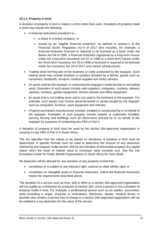#### <span id="page-16-0"></span>**10.1.2 Property in kind**

A donation of property in kind is made in a form other than cash. Donations of property made in kind may include the following:

- A financial instrument provided it is
	- $\triangleright$  a share in a listed company; or
	- $\triangleright$  issued by an "eligible financial institution" as defined in section 1 of the Financial Sector Regulation Act 9 of 2017 (this includes, for example, a financial institution licensed or required to be licensed as a bank under the Banks Act 94 of 1990, a financial institution registered as a long-term insurer under the Long-term Insurance Act 52 of 1998 or a short-term insurer under the Short-term Insurance Act 53 of 1998 or licensed or required to be licensed under the Insurance Act 18 of 2017 and market infrastructure).
- Trading stock forming part of the business or trade conducted by the taxpayer. Such trading stock may include livestock or produce donated by a farmer, goods such as computers, foodstuffs, furniture, medical supplies and motor vehicles.
- An asset used by the taxpayer in conducting the taxpayer's trade but that is not trading stock. Examples of such assets include cash registers, computers, crockery, delivery vehicles, furniture, garden equipment, kitchen utensils and office equipment.
- An asset that is not trading stock and is not used in the business of the taxpayer. For example, such assets may include personal assets or assets bought by the taxpayer such as computers, furniture, sport equipment and vehicles.
- Property purchased, manufactured, erected, installed or constructed by or on behalf of the taxpayer. Examples of such property include carpets or cupboards installed, security fencing and buildings such as classrooms erected by or on behalf of the taxpayer for purposes of conducting any PBA in Part II.

A donation of property in kind must be used by the section 18A-approved organisation in carrying on any PBA in Part II in South Africa.

The Act specifies how the values to be placed on donations of property in kind must be determined. A specific formula must be used to determine the amount of any deduction claimed by any taxpayer under section 18A for any donation of immovable property of a capital nature when the lower of market value or municipal value exceeds cost. See the *Tax Exemption Guide for Public Benefit Organisations in South Africa* for more detail.

No deduction will be allowed for any donation of any property in kind that –

- constitutes or is subject to any fiduciary right, usufruct or other similar right; or
- constitutes an intangible asset or financial instrument, unless the financial instrument meets the requirements described above.

The donation of a service such as time, skill or effort to a section 18A-approved organisation will not qualify as a deduction for purposes of section 18A, since a service is not a donation of property made in kind. For example, a professional person such as an auditor, accountant, artist (including a singer, musician or entertainer), electrician, lawyer, medical doctor or plumber who renders a service free of charge to a section 18A-approved organisation will not be entitled to a tax deduction for the value of the service.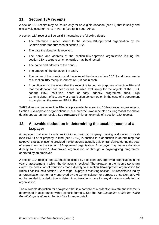## <span id="page-17-0"></span>**11. Section 18A receipts**

A section 18A receipt may be issued only for an eligible donation (see **[10](#page-15-0)**) that is solely and exclusively used for PBAs in Part II (see **[5](#page-8-3)**) in South Africa.

A section 18A receipt will be valid if it contains the following detail:

- The reference number issued to the section 18A-approved organisation by the Commissioner for purposes of section 18A.
- The date the donation is received.
- The name and address of the section 18A-approved organisation issuing the section 18A receipt to which enquiries may be directed.
- The name and address of the donor.
- The amount of the donation if in cash.
- The nature of the donation and the value of the donation (see **[10.1.2](#page-16-0)** and the example of a section 18A receipt in [Annexure](#page-38-0) F) if not in cash.
- A certification to the effect that the receipt is issued for purposes of section 18A and that the donation has been or will be used exclusively for the objects of the PBO, conduit PBO, institution, board or body, agency, programme, fund, High Commissioner, office, entity or organisation concerned or, in the case of a department in carrying on the relevant PBA in Part II.

SARS does not make section 18A receipts available to section 18A-approved organisations. Section 18A-approved organisations must create their own receipts ensuring that all the above details appear on the receipt. See **[Annexure](#page-38-0) F** for an example of a section 18A receipt.

### <span id="page-17-1"></span>**12. Allowable deduction in determining the taxable income of a taxpayer**

A taxpayer, that may include an individual, trust or company, making a donation in cash (see **[10.1.1](#page-15-2)**) or of property in kind (see **[10.1.2](#page-16-0)**) is entitled to a deduction in determining that taxpayer's taxable income provided the donation is actually paid or transferred during the year of assessment to the section 18A-approved organisation. A taxpayer may make a donation directly to a section 18A-approved organisation or through a payroll-giving programme operated by an employer.

A section 18A receipt (see **[11](#page-17-0)**) must be issued by a section 18A-approved organisation in the year of assessment in which the donation is received. The taxpayer in the income tax return claims the deduction of donations made directly to a section 18A-approved organisation for which it has issued a section 18A receipt. Taxpayers receiving section 18A receipts issued by an organisation not formally approved by the Commissioner for purposes of section 18A will not be entitled to a deduction in determining taxable income for any donations made to that organisation.

The allowable deduction for a taxpayer that is a portfolio of a collective investment scheme is determined in accordance with a specific formula. See the *Tax Exemption Guide for Public Benefit Organisations in South Africa* for more detail.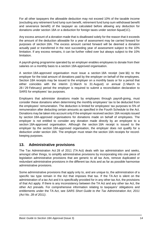For all other taxpayers the allowable deduction may not exceed 10% of the taxable income (excluding any retirement fund lump sum benefit, retirement fund lump sum withdrawal benefit and severance benefit) of the taxpayer as calculated before allowing any deduction for donations under section 18A or a deduction for foreign taxes under section 6*quat*(1C).

Any excess amount of a donation made that is disallowed solely for the reason that it exceeds the amount of the deduction allowable for a year of assessment may be carried forward for purposes of section 18A. The excess amount carried forward will be deemed a donation actually paid or transferred in the next succeeding year of assessment subject to the 10% limitation. If any excess remains, it can be further rolled over but always subject to the 10% limitation.

A payroll-giving programme operated by an employer enables employees to donate from their salaries on a monthly basis to a section 18A-approved organisation.

A section 18A-approved organisation must issue a section 18A receipt (see **[11](#page-17-0)**) to the employer for the total amount of donations paid by the employer on behalf of the employees. Section 18A receipts may be issued to the employer on a monthly basis or for a period that either coincides with the interim (1 March to 31 August) or annual (1 March to 28 / 29 February) period the employer is required to submit a reconciliation declaration to SARS for employees' tax purposes.

Employers that administer donations made by employees through payroll-giving, must consider these donations when determining the monthly employees' tax to be deducted from the employees' remuneration. The deduction is limited for employees' tax purposes to 5% of remuneration after deducting certain amounts as specified in the Fourth Schedule to the Act. Donations may be taken into account only if the employer received section 18A receipts issued by section 18A-approved organisations for donations made on behalf of employees. The employer is not entitled to consider any donation made directly by an employee to a section 18A-approved organisation. Although the section 18A receipt is issued to the employer by the section 18A-approved organisation, the employer does not qualify for a deduction under section 18A. The employer must retain the section 18A receipts for recordkeeping purposes.

## <span id="page-18-0"></span>**13. Administrative provisions**

The Tax Administration Act 28 of 2011 (TA Act) deals with tax administration and seeks, amongst other things, to simplify administrative provisions by incorporating into one piece of legislation administrative provisions that are generic to all tax Acts, remove duplicated or redundant administrative provisions in the different tax Acts and as far as possible harmonise administrative provisions.

Some administrative provisions that apply only to, and are unique to, the administration of a specific tax type remain in the Act that imposes that tax. If the TA Act is silent on the administration of a tax Act and it is specifically provided for in any other tax Act, the provisions of that Act apply. If there is any inconsistency between the TA Act and any other tax Act, the other Act prevails. For comprehensive information relating to taxpayers' obligations and entitlements under the TA Act, see *SARS Short Guide to the Tax Administration Act, 2011 (Act No. 28 of 2011)*.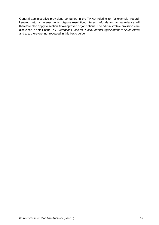General administrative provisions contained in the TA Act relating to, for example, recordkeeping, returns, assessments, dispute resolution, interest, refunds and anti-avoidance will therefore also apply to section 18A-approved organisations. The administrative provisions are discussed in detail in the *Tax Exemption Guide for Public Benefit Organisations in South Africa* and are, therefore, not repeated in this basic guide.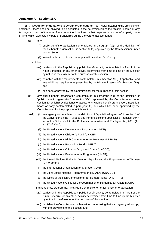#### <span id="page-20-0"></span>**Annexure A – Section 18A**

**18A. Deduction of donations to certain organisations.**—(1) Notwithstanding the provisions of section 23, there shall be allowed to be deducted in the determination of the taxable income of any taxpayer so much of the sum of any *bona fide* donations by that taxpayer in cash or of property made in kind, which was actually paid or transferred during the year of assessment to—

- (*a*) any—
	- (i) public benefit organisation contemplated in paragraph (*a*)(i) of the definition of "public benefit organisation" in section 30(1) approved by the Commissioner under section 30; or
	- (ii) institution, board or body contemplated in section 10(1)(*c*A)(i),

which—

- (*aa*) carries on in the Republic any public benefit activity contemplated in Part II of the Ninth Schedule, or any other activity determined from time to time by the Minister by notice in the *Gazette* for the purposes of this section;
- (*bb*) complies with the requirements contemplated in subsection (1C), if applicable, and any additional requirements prescribed by the Minister in terms of subsection (1A); and
- (*cc*) has been approved by the Commissioner for the purposes of this section;
- (*b*) any public benefit organisation contemplated in paragraph (*a*)(i) of the definition of "public benefit organisation" in section 30(1) approved by the Commissioner under section 30, which provides funds or assets to any public benefit organisation, institution, board or body contemplated in paragraph (*a*) and which has been approved by the Commissioner for the purposes of this section; or
- (*b*A) (i) any agency contemplated in the definition of "specialized agencies" in section 1 of the Convention on the Privileges and Immunities of the Specialized Agencies, 1947, set out in Schedule 4 to the Diplomatic Immunities and Privileges Act, 2001 (Act No 37 of 2001);
	- (ii) the United Nations Development Programme (UNDP);
	- (iii) the United Nations Children's Fund (UNICEF);
	- (iv) the United Nations High Commissioner for Refugees (UNHCR);
	- (v) the United Nations Population Fund (UNFPA);
	- (vi) the United Nations Office on Drugs and Crime (UNODC);
	- (vii) the United Nations Environmental Programme (UNEP);
	- (viii) the United Nations Entity for Gender, Equality and the Empowerment of Women (UN Women);
	- (ix) the International Organisation for Migration (IOM);
	- (x) the Joint United Nations Programme on HIV/AIDS (UNAIDS);
	- (xi) the Office of the High Commissioner for Human Rights (OHCHR); or
	- (xii) the United Nations Office for the Coordination of Humanitarian Affairs (OCHA),

if that agency, programme, fund, High Commissioner, office, entity or organisation—

- (*aa*) carries on in the Republic any public benefit activity contemplated in Part II of the Ninth Schedule, or any other activity determined from time to time by the Minister by notice in the *Gazette* for the purposes of this section;
- (*bb*) furnishes the Commissioner with a written undertaking that such agency will comply with the provisions of this section; and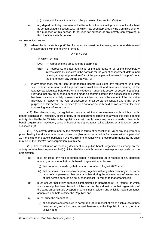(*cc*) waives diplomatic immunity for the purposes of subsection (5)(i); or

(*c*) any department of government of the Republic in the national, provincial or local sphere as contemplated in section 10(1)(*a*), which has been approved by the Commissioner for the purposes of this section, to be used for purpose of any activity contemplated in Part II of the Ninth Schedule,

as does not exceed—

(A) where the taxpayer is a portfolio of a collective investment scheme, an amount determined in accordance with the following formula:

$$
A = B \times 0,005
$$

in which formula:

- (AA) "A" represents the amount to be determined;
- (BB) "B" represents the average value of the aggregate of all of the participatory interests held by investors in the portfolio for the year of assessment, determined by using the aggregate value of all of the participatory interests in the portfolio at the end of each day during that year; or
- (B) in any other case, ten per cent of the taxable income (excluding any retirement fund lump sum benefit, retirement fund lump sum withdrawal benefit and severance benefit) of the taxpayer as calculated before allowing any deduction under this section or section 6*quat*(1C): Provided that any amount of a donation made as contemplated in this subsection and which has been disallowed solely by reason of the fact that it exceeds the amount of the deduction allowable in respect of the year of assessment shall be carried forward and shall, for the purposes of this section, be deemed to be a donation actually paid or transferred in the next succeeding year of assessment.

(1A) The Minister may, by regulation, prescribe additional requirements with which a public benefit organisation, institution, board or body or the department carrying on any specific public benefit activity identified by the Minister in the regulations, must comply before any donation made to that public benefit organisation, institution, board or body or the department shall be allowed as a deduction under subsection (1).

(1B) Any activity determined by the Minister in terms of subsection (1)(*a*) or any requirements prescribed by the Minister in terms of subsection (1A), must be tabled in Parliament within a period of 12 months after the date of publication by the Minister of that activity or those requirements, as the case may be, in the *Gazette*, for incorporation into this Act.

(1C) The constitution or founding document of a public benefit organisation carrying on the activity contemplated in paragraph 4(*d*) of Part II of the Ninth Schedule, must expressly provide that the organisation—

- (*a*) may not issue any receipt contemplated in subsection (2) in respect of any donation made by a person to that public benefit organisation, unless—
	- (i) that donation is made by that person on or after 1 August 2002; and
	- (ii) that person (in the case of a company, together with any other company in the same group of companies as that company) has during the relevant year of assessment of that person donated an amount of at least R1 million to that organisation;
- (*b*) must ensure that every donation contemplated in paragraph (*a*), in respect of which such a receipt has been issued, will be matched by a donation to that organisation of the same amount made by a person who is not a resident and which is made from funds generated and held outside the Republic; and
- (*c*) must utilise the amount of—
	- (i) all donations contemplated in paragraph (*a*), in respect of which such a receipt has been issued, and all income derived therefrom, in the Republic in carrying on that activity; and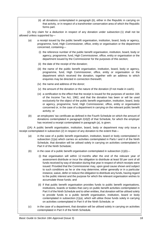(ii) all donations contemplated in paragraph (*b*), either in the Republic in carrying on that activity, or in respect of a transfrontier conservation area of which the Republic forms part.

(2) Any claim for a deduction in respect of any donation under subsection (1) shall not be allowed unless supported by—

- (*a*) a receipt issued by the public benefit organisation, institution, board, body or agency, programme, fund, High Commissioner, office, entity or organisation or the department concerned, containing—
	- (i) the reference number of the public benefit organisation, institution, board, body or agency, programme, fund, High Commissioner, office, entity or organisation or the department issued by the Commissioner for the purposes of this section;
	- (ii) the date of the receipt of the donation;
	- (iii) the name of the public benefit organisation, institution, board, body or agency, programme, fund, High Commissioner, office, entity or organisation or the department which received the donation, together with an address to which enquiries may be directed in connection therewith;
	- (iv) the name and address of the donor;
	- (v) the amount of the donation or the nature of the donation (if not made in cash);
	- (vi) a certification to the effect that the receipt is issued for the purposes of section 18A of the Income Tax Act, 1962, and that the donation has been or will be used exclusively for the object of the public benefit organisation, institution, board, body or agency, programme, fund, High Commissioner, office, entity or organisation concerned or, in the case of a department in carrying on the relevant public benefit activity; or
- (*b*) an employees' tax certificate as defined in the Fourth Schedule on which the amount of donations contemplated in paragraph 2(4)(*f*) of that Schedule, for which the employer has received a receipt contemplated in paragraph (*a*), is given.

(2A) A public benefit organisation, institution, board, body or department may only issue a receipt contemplated in subsection (2) in respect of any donation to the extent that—

- (*a*) in the case of a public benefit organisation, institution, board or body contemplated in subsection (1)(*a*) which carries on activities contemplated in Parts I and II of the Ninth Schedule, that donation will be utilised solely in carrying on activities contemplated in Part II of the Ninth Schedule;
- (b) in the case of a public benefit organisation contemplated in subsection  $(1)(b)$ 
	- (i) that organisation will within 12 months after the end of the relevant year of assessment distribute or incur the obligation to distribute at least 50 per cent of all funds received by way of donation during that year in respect of which receipts were issued: Provided that the Commissioner may, upon good cause shown and subject to such conditions as he or she may determine, either generally or in a particular instance, waive, defer or reduce the obligation to distribute any funds, having regard to the public interest and the purpose for which the relevant organisation wishes to accumulate those funds; and
	- (ii) if that public benefit organisation provides funds to public benefit organisations, institutions, boards or bodies that carry on public benefit activities contemplated in Part II of the Ninth Schedule and to other entities, that donation will be utilised solely to provide funds to a public benefit organisation, institution, board or body contemplated in subsection (1)(*a*), which will utilise those funds solely in carrying on activities contemplated in Part II of the Ninth Schedule; or
- (*c*) in the case of a department, that donation will be utilised solely in carrying on activities contemplated in Part II of the Ninth Schedule.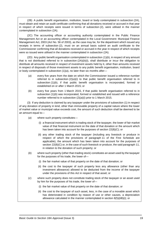(2B) A public benefit organisation, institution, board or body contemplated in subsection (2A), must obtain and retain an audit certificate confirming that all donations received or accrued in that year in respect of which receipts were issued in terms of subsection (2), were utilised in the manner contemplated in subsection (2A).

(2C) The accounting officer or accounting authority contemplated in the Public Finance Management Act or an accounting officer contemplated in the Local Government: Municipal Finance Management Act, 2003 (Act No. 56 of 2003), as the case may be, for the department which issued any receipts in terms of subsection (2), must on an annual basis submit an audit certificate to the Commissioner confirming that all donations received or accrued in the year in respect of which receipts were so issued were utilised in the manner contemplated in subsection (2A).

(2D) Any public benefit organisation contemplated in subsection (1)(*b*), in respect of any amount that is not distributed referred to in subsection (2A)(*b*)(i), shall distribute or incur the obligation to distribute all amounts received in respect of investment assets held by it, other than amounts received in respect of disposals of those investment assets to any public benefit organisation, institution, board or body contemplated in subsection (1)(*a*), no later than six months after—

- (*a*) every five years from the date on which the Commissioner issued a reference number referred to in subsection  $(2)(a)(i)$  to that public benefit organisation referred to in subsection (1)(*b*), if that public benefit organisation is incorporated, formed or established on or after 1 March 2015; or
- (*b*) every five years from 1 March 2015, if that public benefit organisation referred to in subsection (1)(*b*) was incorporated, formed or established and issued with a reference number referred to in subsection (2)(*a*)(i) prior to 1 March 2015.

(3) If any deduction is claimed by any taxpayer under the provisions of subsection (1) in respect of any donation of property in kind, other than immovable property of a capital nature where the lower of market value or municipal value exceeds cost, the amount of such deduction shall be deemed to be an amount equal to—

- (*a*) where such property constitutes—
	- (i) a financial instrument which is trading stock of the taxpayer, the lower of fair market value of that financial instrument on the date of that donation or the amount which has been taken into account for the purposes of section 22(8)(C); or
	- (ii) any other trading stock of the taxpayer (including any livestock or produce in respect of which the provisions of paragraph 11 of the First Schedule are applicable), the amount which has been taken into account for the purposes of section 22(8)(C) or, in the case of such livestock or produce, the said paragraph 11, in relation to the donation of such property; or
- (*b*) where such property (other than trading stock) constitutes an asset used by the taxpayer for the purposes of his trade, the lower of—
	- (i) the fair market value of that property on the date of that donation; or
	- (ii) the cost to the taxpayer of such property less any allowance (other than any investment allowance) allowed to be deducted from the income of the taxpayer under the provisions of this Act in respect of that asset; or
- (*c*) where such property does not constitute trading stock of the taxpayer or an asset used by him for the purposes of his trade, the lower of—
	- (i) the fair market value of that property on the date of that donation; or
	- (ii) the cost to the taxpayer of such asset, less, in the case of a movable asset which has deteriorated in condition by reason of use or other causes, a depreciation allowance calculated in the manner contemplated in section 8(5)(*b*B)(i); or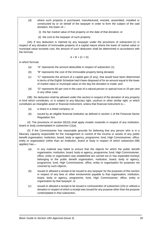- (*d*) where such property is purchased, manufactured, erected, assembled, installed or constructed by or on behalf of the taxpayer in order to form the subject of the said donation, the lower of—
	- (i) the fair market value of that property on the date of that donation; or
	- (ii) the cost to the taxpayer of such property.

(3A) If any deduction is claimed by any taxpayer under the provisions of subsection (1) in respect of any donation of immovable property of a capital nature where the lower of market value or municipal value exceeds cost, the amount of such deduction shall be determined in accordance with the formula:

$$
A = B + (C \times D)
$$

in which formula:

- (*a*) "A" represents the amount deductible in respect of subsection (1);
- (*b*) "B" represents the cost of the immovable property being donated;
- (*c*) "C" represents the amount of a capital gain (if any), that would have been determined in terms of the Eighth Schedule had it been disposed of for an amount equal to the lower of market value or municipal value on the day the donation is made; and
- (*d*) "D" represents 60 per cent in the case of a natural person or special trust or 20 per cent in any other case.

(3B) No deduction shall be allowed under this section in respect of the donation of any property in kind which constitutes, or is subject to any fiduciary right, usufruct or other similar right, or which constitutes an intangible asset or financial instrument, unless that financial instrument is—

- (*a*) a share in a listed company; or
- (*b*) issued by an eligible financial institution as defined in section 1 of the Financial Sector Regulation Act.

(4) The provisions of section 30(10) shall apply *mutatis mutandis* in respect of any institution, board or body contemplated in subsection (1)(*a*).

(5) If the Commissioner has reasonable grounds for believing that any person who is in a fiduciary capacity responsible for the management or control of the income or assets of any public benefit organisation, institution, board, body or agency, programme, fund, High Commissioner, office, entity or organisation (other than an institution, board or body in respect of which subsection (5B) applies) has—

- (*a*) in any material way failed to ensure that the objects for which the public benefit organisation, institution, board, body or agency, programme, fund, High Commissioner, office, entity or organisation was established are carried out or has expended moneys belonging to the public benefit organisation, institution, board, body or agency, programme, fund, High Commissioner, office, entity or organisation for purposes not covered by such objects;
- (*b*) issued or allowed a receipt to be issued to any taxpayer for the purposes of this section in respect of any fees or other emoluments payable to that organisation, institution, board, body or agency, programme, fund, High Commissioner, office, entity or organisation by that taxpayer; or
- (*c*) issued or allowed a receipt to be issued in contravention of subsection (2A) or utilised a donation in respect of which a receipt was issued for any purpose other than the purpose contemplated in that subsection,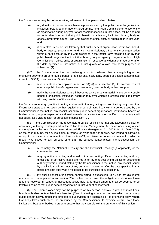the Commissioner may by notice in writing addressed to that person direct that—

- (i) any donation in respect of which a receipt was issued by that public benefit organisation, institution, board, body or agency, programme, fund, High Commissioner, office, entity or organisation during any year of assessment specified in that notice, will be deemed to be taxable income of that public benefit organisation, institution, board, body or agency, programme, fund, High Commissioner, office, entity or organisation in that year; and
- (ii) if corrective steps are not taken by that public benefit organisation, institution, board, body or agency, programme, fund, High Commissioner, office, entity or organisation within a period stated by the Commissioner in that notice, any receipt issued by that public benefit organisation, institution, board, body or agency, programme, fund, High Commissioner, office, entity or organisation in respect of any donation made on or after the date specified in that notice shall not qualify as a valid receipt for purposes of subsection (2).

(5A) If the Commissioner has reasonable grounds for believing that any regulating or coordinating body of a group of public benefit organisations, institutions, boards or bodies contemplated in section 30(3A) or subsection (6) fails to—

- (*a*) take any steps contemplated in section 30(3A) or subsection (6), to exercise control over any public benefit organisation, institution, board or body in that group; or
- (*b*) notify the Commissioner where it becomes aware of any material failure by any public benefit organisation, institution, board or body over which it exercises control to comply with any provision of this section,

the Commissioner may by notice in writing addressed to that regulating or co-ordinating body direct that if corrective steps are not taken by that regulating or co-ordinating body within a period stated by the Commissioner in that notice, any receipt issued by public benefit organisations, institutions, boards or bodies in that group in respect of any donation made on or after the date specified in that notice shall not qualify as a valid receipt for purposes of subsection (2).

(5B) If the Commissioner has reasonable grounds for believing that any accounting officer or accounting authority contemplated in the Public Finance Management Act or an accounting officer contemplated in the Local Government: Municipal Finance Management Act, 2003 (Act No. 56 of 2003), as the case may be, for any institution in respect of which that Act applies, has issued or allowed a receipt to be issued in contravention of subsection (2A) or utilised a donation in respect of which a receipt was issued for any purpose other than the purpose contemplated in that subsection, the Commissioner—

- (*a*) must notify the National Treasury and the Provincial Treasury (if applicable) of the contravention; and
- (*b*) may by notice in writing addressed to that accounting officer or accounting authority direct that, if corrective steps are not taken by that accounting officer or accounting authority within a period stated by the Commissioner in that notice, any receipt issued by that institution in respect of any donation made on or after the date specified in that notice shall not qualify as a valid receipt for purposes of subsection (2).

(5C) If any public benefit organisation contemplated in subsection (1)(*b*), has not distributed amounts as contemplated in subsection (2D), or has not incurred the obligation to distribute those amounts received in respect of investment assets held by it, those amounts shall be deemed to be taxable income of that public benefit organisation in that year of assessment.

(6) The Commissioner may, for the purposes of this section, approve a group of institutions, boards or bodies contemplated in subsection (1)(*a*)(ii), sharing a common purpose which carry on any public benefit activity under the direction or supervision of a regulating or co-ordinating body, where that body takes such steps, as prescribed by the Commissioner, to exercise control over those institutions, boards or bodies in order to ensure that they comply with the provisions of this section.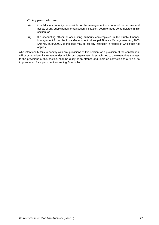(7) Any person who is—

- (i) in a fiduciary capacity responsible for the management or control of the income and assets of any public benefit organisation, institution, board or body contemplated in this section; or
- (ii) the accounting officer or accounting authority contemplated in the Public Finance Management Act or the Local Government: Municipal Finance Management Act, 2003 (Act No. 56 of 2003), as the case may be, for any institution in respect of which that Act applies,

who intentionally fails to comply with any provisions of this section, or a provision of the constitution, will or other written instrument under which such organisation is established to the extent that it relates to the provisions of this section, shall be guilty of an offence and liable on conviction to a fine or to imprisonment for a period not exceeding 24 months.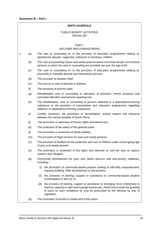#### **NINTH SCHEDULE**

#### PUBLIC BENEFIT ACTIVITIES (Section 30)

#### PART I

#### WELFARE AND HUMANITARIAN

- <span id="page-27-0"></span>1. (*a*) The care or counseling of, or the provision of education programmes relating to, abandoned, abused, neglected, orphaned or homeless children.
	- (*b*) The care or counseling of poor and needy persons where more than 90 per cent of those persons to whom the care or counseling are provided are over the age of 60.
	- (*c*) The care or counseling of, or the provision of education programmes relating to, physically or mentally abused and traumatized persons.
	- (*d*) The provision of disaster relief.
	- (*e*) The rescue or care of persons in distress.
	- (*f*) The provision of poverty relief.
	- (*g*) Rehabilitative care or counseling or education of prisoners, former prisoners and convicted offenders and persons awaiting trial.
	- (*h*) The rehabilitation, care or counseling of persons addicted to a dependence-forming substance or the provision of preventative and education programmes regarding addiction to dependence-forming substances.
	- (*i*) Conflict resolution, the promotion of reconciliation, mutual respect and tolerance between the various peoples of South Africa.
	- (*j*) The promotion or advocacy of human rights and democracy.
	- (*k*) The protection of the safety of the general public.
	- (*l*) The promotion or protection of family stability.
	- (*m*) The provision of legal services for poor and needy persons.
	- (*n*) The provision of facilities for the protection and care of children under school-going age of poor and needy parents.
	- (*o*) The promotion or protection of the rights and interests of, and the care of, asylum seekers and refugees.
	- (*p*) Community development for poor and needy persons and anti-poverty initiatives, including—
		- (i) the promotion of community-based projects relating to self-help, empowerment, capacity building, skills development or anti-poverty;
		- (ii) the provision of training, support or assistance to community-based projects contemplated in item (i); or
		- (iii) the provision of training, support or assistance to emerging micro enterprises to improve capacity to start and manage businesses, which may include the granting of loans on such conditions as may be prescribed by the Minister by way of regulation.
	- (*q*) The promotion of access to media and a free press.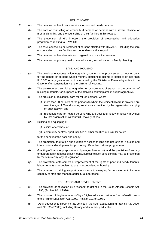|    |       | <b>HEALTH CARE</b>                                                                                                                                                                                                                                                                                                             |
|----|-------|--------------------------------------------------------------------------------------------------------------------------------------------------------------------------------------------------------------------------------------------------------------------------------------------------------------------------------|
| 2. | (a)   | The provision of health care services to poor and needy persons.                                                                                                                                                                                                                                                               |
|    | (b)   | The care or counseling of terminally ill persons or persons with a severe physical or<br>mental disability, and the counseling of their families in this regard.                                                                                                                                                               |
|    | (c)   | The prevention of HIV infection, the provision of preventative and education<br>programmes relating to HIV/AIDS.                                                                                                                                                                                                               |
|    | (d)   | The care, counseling or treatment of persons afflicted with HIV/AIDS, including the care<br>or counseling of their families and dependants in this regard.                                                                                                                                                                     |
|    | (e)   | The provision of blood transfusion, organ donor or similar services.                                                                                                                                                                                                                                                           |
|    | (f)   | The provision of primary health care education, sex education or family planning.                                                                                                                                                                                                                                              |
|    |       | <b>LAND AND HOUSING</b>                                                                                                                                                                                                                                                                                                        |
| 3. | (a)   | The development, construction, upgrading, conversion or procurement of housing units<br>for the benefit of persons whose monthly household income is equal to or less than<br>R15 000 or any greater amount determined by the Minister of Finance by notice in the<br>Gazette after consultation with the Minister of Housing. |
|    | (b)   | The development, servicing, upgrading or procurement of stands, or the provision of<br>building materials, for purposes of the activities contemplated in subparagraph (a).                                                                                                                                                    |
|    | (c)   | The provision of residential care for retired persons, where-                                                                                                                                                                                                                                                                  |
|    |       | (i) more than 90 per cent of the persons to whom the residential care is provided are<br>over the age of 60 and nursing services are provided by the organisation carrying<br>on such activity; and                                                                                                                            |
|    |       | (ii) residential care for retired persons who are poor and needy is actively provided<br>by that organisation without full recovery of cost.                                                                                                                                                                                   |
|    | (d)   | Building and equipping of-                                                                                                                                                                                                                                                                                                     |
|    |       | clinics or crèches; or<br>(i)                                                                                                                                                                                                                                                                                                  |
|    |       | community centres, sport facilities or other facilities of a similar nature,<br>(ii)                                                                                                                                                                                                                                           |
|    |       | for the benefit of the poor and needy.                                                                                                                                                                                                                                                                                         |
|    | (e)   | The promotion, facilitation and support of access to land and use of land, housing and<br>infrastructural development for promoting official land reform programmes.                                                                                                                                                           |
|    | ( f ) | Granting of loans for purposes of subparagraph (a) or $(b)$ , and the provision of security<br>or guarantees in respect of such loans, subject to such conditions as may be prescribed<br>by the Minister by way of regulation.                                                                                                |
|    | (g)   | The protection, enforcement or improvement of the rights of poor and needy tenants,<br>labour tenants or occupiers, to use or occupy land or housing.                                                                                                                                                                          |
|    | (h)   | The provision of training, support or assistance to emerging farmers in order to improve<br>capacity to start and manage agricultural operations.                                                                                                                                                                              |
|    |       | EDUCATION AND DEVELOPMENT                                                                                                                                                                                                                                                                                                      |
| 4. | (a)   | The provision of education by a "school" as defined in the South African Schools Act,<br>1996, (Act No. 84 of 1996).                                                                                                                                                                                                           |
|    | (b)   | The provision of "higher education" by a "higher education institution" as defined in terms<br>of the Higher Education Act, 1997, (Act No. 101 of 1997).                                                                                                                                                                       |
|    | (c)   | "Adult education and training", as defined in the Adult Education and Training Act, 2000,<br>(Act No. 52 of 2000), including literacy and numeracy education.                                                                                                                                                                  |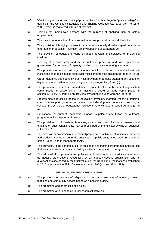- (*d*) "Continuing education and training" provided by a "public college" or "private college" as defined in the Continuing Education and Training Colleges Act, 2006 (Act No. 16 of 2006), which is registered in terms of that Act.
- (*e*) Training for unemployed persons with the purpose of enabling them to obtain employment.
- (*f*) The training or education of persons with a severe physical or mental disability.
- (*g*) The provision of bridging courses to enable educationally disadvantaged persons to enter a higher education institution as envisaged in subparagraph (*b*).
- (*h*) The provision of educare or early childhood development services for pre-school children.
- (*i*) Training of persons employed in the national, provincial and local spheres of government, for purposes of capacity building in those spheres of government.
- (*j*) The provision of school buildings or equipment for public schools and educational institutions engaged in public benefit activities contemplated in subparagraphs (*a*) to (*h*).
- (*k*) Career guidance and counseling services provided to persons attending any school or higher education institution as envisaged in subparagraphs (*a*) and (*b*).
- (*l*) The provision of hostel accommodation to students of a public benefit organisation contemplated in section 30 or an institution, board or body contemplated in section 10(1)(*c*A)(i), carrying on activities envisaged in subparagraphs (*a*) to (*g*).
- (*m*) Programmes addressing needs in education provision, learning, teaching, training, curriculum support, governance, whole school development, safety and security at schools, pre-schools or educational institutions as envisaged in subparagraphs (*a*) to (*h*).
- (*n*) Educational enrichment, academic support, supplementary tuition or outreach programmes for the poor and needy.
- (*o*) The provision of scholarships, bursaries, awards and loans for study, research and teaching on such conditions as may be prescribed by the Minister by way of regulation in the *Gazett*e.
- (*p*) The provision or promotion of educational programmes with respect to financial services and products, carried on under the auspices of a public entity listed under Schedule 3A of the Public Finance Management Act.
- (*q*) The provision, to the general public, of education and training programmes and courses that are administered and accredited by entities contemplated in paragraph (*r*).
- (*r*) The administration, provision and publication of qualification and certification services by industry organisations recognised by an industry specific organisation and its qualifications accredited by the Quality Council for Trades and Occupations established in 2010 in terms of the Skills Development Act, 1998 (Act No. 97 of 1998).

#### RELIGION, BELIEF OR PHILOSOPHY

- 5. (*a*) The promotion or practice of religion which encompasses acts of worship, witness, teaching and community service based on a belief in a deity.
	- (*b*) The promotion and/or practice of a belief.
	- (*c*) The promotion of, or engaging in, philosophical activities.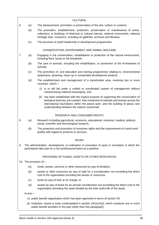|    |                                                                                                                                                                     | <b>CULTURAL</b>                                                                                                                                                                                                                                                                                                   |  |
|----|---------------------------------------------------------------------------------------------------------------------------------------------------------------------|-------------------------------------------------------------------------------------------------------------------------------------------------------------------------------------------------------------------------------------------------------------------------------------------------------------------|--|
| 6. | (a)                                                                                                                                                                 | The advancement, promotion or preservation of the arts, culture or customs.                                                                                                                                                                                                                                       |  |
|    | (b)                                                                                                                                                                 | The promotion, establishment, protection, preservation or maintenance of areas,<br>collections or buildings of historical or cultural interest, national monuments, national<br>heritage sites, museums, including art galleries, archives and libraries.                                                         |  |
|    | (c)                                                                                                                                                                 | The provision of youth leadership or development programmes.                                                                                                                                                                                                                                                      |  |
|    |                                                                                                                                                                     | CONSERVATION, ENVIRONMENT AND ANIMAL WELFARE                                                                                                                                                                                                                                                                      |  |
| 7. | (a)                                                                                                                                                                 | Engaging in the conservation, rehabilitation or protection of the natural environment,<br>including flora, fauna or the biosphere.                                                                                                                                                                                |  |
|    | (b)                                                                                                                                                                 | The care of animals, including the rehabilitation, or prevention of the ill-treatment of<br>animals.                                                                                                                                                                                                              |  |
|    | (c)                                                                                                                                                                 | The promotion of, and education and training programmes relating to, environmental<br>awareness, greening, clean-up or sustainable development projects.                                                                                                                                                          |  |
|    | (d)                                                                                                                                                                 | The establishment and management of a transfrontier area, involving two or more<br>countries, which-                                                                                                                                                                                                              |  |
|    |                                                                                                                                                                     | (i) is or will fall under a unified or coordinated system of management without<br>compromising national sovereignty; and                                                                                                                                                                                         |  |
|    |                                                                                                                                                                     | has been established with the explicit purpose of supporting the conservation of<br>(ii)<br>biological diversity, job creation, free movement of animals and tourists across the<br>international boundaries within the peace park, and the building of peace and<br>understanding between the nations concerned. |  |
|    |                                                                                                                                                                     | <b>RESEARCH AND CONSUMER RIGHTS</b>                                                                                                                                                                                                                                                                               |  |
| 8. | (a)                                                                                                                                                                 | Research including agricultural, economic, educational, industrial, medical, political,<br>social, scientific and technological research.                                                                                                                                                                         |  |
|    | (b)                                                                                                                                                                 | The protection and promotion of consumer rights and the improvement of control and<br>quality with regard to products or services.                                                                                                                                                                                |  |
|    |                                                                                                                                                                     | <b>SPORT</b>                                                                                                                                                                                                                                                                                                      |  |
| 9. | The administration, development, co-ordination or promotion of sport or recreation in which the<br>participants take part on a non-professional basis as a pastime. |                                                                                                                                                                                                                                                                                                                   |  |
|    |                                                                                                                                                                     | PROVIDING OF FUNDS, ASSETS OR OTHER RESOURCES                                                                                                                                                                                                                                                                     |  |
|    | 10. The provision of-                                                                                                                                               |                                                                                                                                                                                                                                                                                                                   |  |
|    | (a)                                                                                                                                                                 | funds, assets, services or other resources by way of donation;                                                                                                                                                                                                                                                    |  |
|    | (b)                                                                                                                                                                 | assets or other resources by way of sale for a consideration not exceeding the direct<br>cost to the organisation providing the assets or resources;                                                                                                                                                              |  |
|    | (c)                                                                                                                                                                 | funds by way of loan at no charge; or                                                                                                                                                                                                                                                                             |  |
|    | (d)                                                                                                                                                                 | assets by way of lease for an annual consideration not exceeding the direct cost to the<br>organisation providing the asset divided by the total useful life of the asset,                                                                                                                                        |  |
|    | to any-                                                                                                                                                             |                                                                                                                                                                                                                                                                                                                   |  |
|    |                                                                                                                                                                     | (i) public benefit organisation which has been approved in terms of section 30;                                                                                                                                                                                                                                   |  |
|    |                                                                                                                                                                     | (ii) institution, board or body contemplated in section $10(1)(cA)(i)$ , which conducts one or more<br>public benefit activities in this part (other than this paragraph);                                                                                                                                        |  |
|    |                                                                                                                                                                     |                                                                                                                                                                                                                                                                                                                   |  |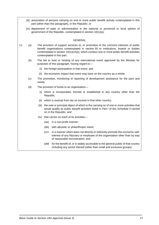- (iii) association of persons carrying on one or more public benefit activity contemplated in this part (other than this paragraph), in the Republic; or
- (iv) department of state or administration in the national or provincial or local sphere of government of the Republic, contemplated in section 10(1)(*a*).

#### **GENERAL**

- 11. (*a*) The provision of support services to, or promotion of the common interests of public benefit organisations contemplated in section 30 or institutions, boards or bodies contemplated in section 10(1)(*c*A)(i), which conduct one or more public benefit activities contemplated in this part.
	- (*b*) The bid to host or hosting of any international event approved by the Minister for purposes of this paragraph, having regard to—
		- (i) the foreign participation in that event; and
		- (ii) the economic impact that event may have on the country as a whole.
	- (*c*) The promotion, monitoring or reporting of development assistance for the poor and needy.
	- (*d*) The provision of funds to an organisation—
		- (i) which is incorporated, formed or established in any country other than the Republic;
		- (ii) which is exempt from tax on income in that other country;
		- (iii) the sole or principal object of which is the carrying on of one or more activities that would qualify as public benefit activities listed in Part I of this Schedule if carried on in the Republic; and
		- (iv) that carries on each of its activities—
			- (*aa*) in a non-profit manner;
			- (*bb*) with altruistic or philanthropic intent;
			- (*cc*) in a manner which does not directly or indirectly promote the economic selfinterest of any fiduciary or employee of the organisation other than by way of reasonable remuneration; and
			- (*dd*) for the benefit of, or is widely accessible to the general public of that country including any sector thereof (other than small and exclusive groups).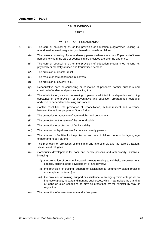#### **NINTH SCHEDULE**

#### PART II

#### WELFARE AND HUMANITARIAN

- <span id="page-32-0"></span>1. (*a*) The care or counseling of, or the provision of education programmes relating to, abandoned, abused, neglected, orphaned or homeless children.
	- (*b*) The care or counseling of poor and needy persons where more than 90 per cent of those persons to whom the care or counseling are provided are over the age of 60.
	- (*c*) The care or counseling of, or the provision of education programmes relating to, physically or mentally abused and traumatised persons.
	- (*d*) The provision of disaster relief.
	- (*e*) The rescue or care of persons in distress.
	- (*f*) The provision of poverty relief.
	- (*g*) Rehabilitative care or counseling or education of prisoners, former prisoners and convicted offenders and persons awaiting trial.
	- (*h*) The rehabilitation, care or counseling of persons addicted to a dependence-forming substance or the provision of preventative and education programmes regarding addiction to dependence-forming substances.
	- (*i*) Conflict resolution, the promotion of reconciliation, mutual respect and tolerance between the various peoples of South Africa.
	- (*j*) The promotion or advocacy of human rights and democracy.
	- (*k*) The protection of the safety of the general public.
	- (*l*) The promotion or protection of family stability.
	- (*m*) The provision of legal services for poor and needy persons.
	- (*n*) The provision of facilities for the protection and care of children under school-going age of poor and needy parents.
	- (*o*) The promotion or protection of the rights and interests of, and the care of, asylum seekers and refugees.
	- (*p*) Community development for poor and needy persons and anti-poverty initiatives, including—
		- (i) the promotion of community-based projects relating to self-help, empowerment, capacity building, skills development or anti-poverty;
		- (ii) the provision of training, support or assistance to community-based projects contemplated in item (i); or
		- (iii) the provision of training, support or assistance to emerging micro enterprises to improve capacity to start and manage businesses, which may include the granting of loans on such conditions as may be prescribed by the Minister by way of regulation.
	- (*q*) The promotion of access to media and a free press.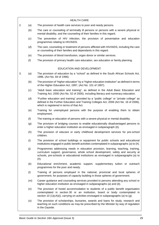|    |                   | <b>HEALTH CARE</b>                                                                                                                                                                                                                                                        |
|----|-------------------|---------------------------------------------------------------------------------------------------------------------------------------------------------------------------------------------------------------------------------------------------------------------------|
| 2. | (a)               | The provision of health care services to poor and needy persons.                                                                                                                                                                                                          |
|    | (b)               | The care or counseling of terminally ill persons or persons with a severe physical or<br>mental disability, and the counseling of their families in this regard.                                                                                                          |
|    | (c)               | The prevention of HIV infection, the provision of preventative and education<br>programmes relating to HIV/AIDS.                                                                                                                                                          |
|    | (d)               | The care, counseling or treatment of persons afflicted with HIV/AIDS, including the care<br>or counseling of their families and dependants in this regard.                                                                                                                |
|    | (e)               | The provision of blood transfusion, organ donor or similar services.                                                                                                                                                                                                      |
|    | (f)               | The provision of primary health care education, sex education or family planning.                                                                                                                                                                                         |
|    |                   | EDUCATION AND DEVELOPMENT                                                                                                                                                                                                                                                 |
| 3. | (a)               | The provision of education by a "school" as defined in the South African Schools Act,<br>1996, (Act No. 84 of 1996).                                                                                                                                                      |
|    | (b)               | The provision of "higher education" by a "higher education institution" as defined in terms<br>of the Higher Education Act, 1997, (Act No. 101 of 1997).                                                                                                                  |
|    | (c)               | "Adult basic education and training", as defined in the Adult Basic Education and<br>Training Act, 2000 (Act No. 52 of 2000), including literacy and numeracy education.                                                                                                  |
|    | (d)               | "Further education and training" provided by a "public college" or "private college" as<br>defined in the Further Education and Training Colleges Act, 2006 (Act No. 16 of 2006),<br>which is registered in terms of that Act.                                            |
|    | (e)               | Training for unemployed persons with the purpose of enabling them to obtain<br>employment.                                                                                                                                                                                |
|    | (f)               | The training or education of persons with a severe physical or mental disability.                                                                                                                                                                                         |
|    | (g)               | The provision of bridging courses to enable educationally disadvantaged persons to<br>enter a higher education institution as envisaged in subparagraph (b).                                                                                                              |
|    | (h)               | The provision of educare or early childhood development services for pre-school<br>children.                                                                                                                                                                              |
|    | $\left( i\right)$ | The provision of school buildings or equipment for public schools and educational<br>institutions engaged in public benefit activities contemplated in subparagraphs (a) to $(h)$ .                                                                                       |
|    | $\omega$          | Programmes addressing needs in education provision, learning, teaching, training,<br>curriculum support, governance, whole school development, safety and security at<br>schools, pre-schools or educational institutions as envisaged in subparagraphs (a) to<br>$(h)$ . |
|    | (k)               | Educational enrichment, academic support, supplementary tuition or outreach<br>programmes for the poor and needy.                                                                                                                                                         |
|    | (                 | Training of persons employed in the national, provincial and local spheres of<br>government, for purposes of capacity building in those spheres of government.                                                                                                            |
|    | (m)               | Career guidance and counseling services provided to persons attending any school or<br>higher education institution as envisaged in subparagraphs (a) and (b).                                                                                                            |
|    | (n)               | The provision of hostel accommodation to students of a public benefit organisation<br>contemplated in section 30 or an institution, board or body contemplated in<br>section 10 (1)( $cA$ )(i), carrying on activities envisaged in subparagraphs (a) to (g).             |
|    | (o)               | The provision of scholarships, bursaries, awards and loans for study, research and<br>teaching on such conditions as may be prescribed by the Minister by way of regulation<br>in the Gazette.                                                                            |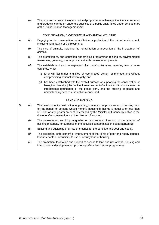(*p*) The provision or promotion of educational programmes with respect to financial services and products, carried on under the auspices of a public entity listed under Schedule 3A of the Public Finance Management Act.

#### CONSERVATION, ENVIRONMENT AND ANIMAL WELFARE

- 4. (*a*) Engaging in the conservation, rehabilitation or protection of the natural environment, including flora, fauna or the biosphere.
	- (*b*) The care of animals, including the rehabilitation or prevention of the ill-treatment of animals.
	- (*c*) The promotion of, and education and training programmes relating to, environmental awareness, greening, clean-up or sustainable development projects.
	- (*d*) The establishment and management of a transfrontier area, involving two or more countries, which—
		- (i) is or will fall under a unified or coordinated system of management without compromising national sovereignty; and
		- (ii) has been established with the explicit purpose of supporting the conservation of biological diversity, job creation, free movement of animals and tourists across the international boundaries of the peace park, and the building of peace and understanding between the nations concerned.

#### LAND AND HOUSING

- 5. (*a*) The development, construction, upgrading, conversion or procurement of housing units for the benefit of persons whose monthly household income is equal to or less than R15 000 or any greater amount determined by the Minister of Finance by notice in the *Gazette* after consultation with the Minister of Housing.
	- (*b*) The development, servicing, upgrading or procurement of stands, or the provision of building materials, for purposes of the activities contemplated in subparagraph (*a*).
	- (*c*) Building and equipping of clinics or crèches for the benefit of the poor and needy.
	- (*d*) The protection, enforcement or improvement of the rights of poor and needy tenants, labour tenants or occupiers, to use or occupy land or housing.
	- (*e*) The promotion, facilitation and support of access to land and use of land, housing and infrastructural development for promoting official land reform programmes.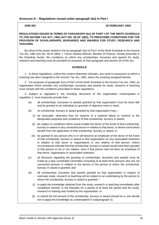#### <span id="page-35-0"></span>**Annexure D – Regulations issued under paragraph 4(***o***) in Part I**

#### **GNR.302 28 FEBRUARY 2003**

#### **REGULATIONS ISSUED IN TERMS OF PARAGRAPH 4(***o***) OF PART I OF THE NINTH SCHEDULE TO THE INCOME TAX ACT, 1962 (ACT NO. 58 OF 1962), TO PRESCRIBE CONDITIONS FOR THE PROVISION OF SCHOLARSHIPS, BURSARIES AND AWARDS FOR STUDY, RESEARCH AND TEACHING**

By virtue of the power vested in me by paragraph 4(*o*) of Part I of the Ninth Schedule to the Income Tax Act, 1962 (Act No. 58 of 1962), I, Trevor Andrew Manuel, Minister of Finance, hereby prescribe in the Schedule hereto, the conditions on which any scholarships, bursaries and awards for study, research and teaching must be provided for purposes of that paragraph and section 30 of the Act.

#### **SCHEDULE**

1. In these regulations, unless the context otherwise indicates, any word or expression to which a meaning has been assigned in the Income Tax Act, 1962, bears the meaning assigned thereto.

2. For purposes of paragraph 4(*o*) of Part I of the Ninth Schedule to the Income Tax Act, 1962, an organisation which provides any scholarships, bursaries and awards for study, research or teaching must comply with the conditions prescribed in these regulations.

3. Subject to regulation 4, the founding document of the organisation contemplated in regulation 2, must expressly provide that—

- (*a*) all scholarships, bursaries or awards granted by that organisation must be *bona fide* and be granted to an individual on grounds of objective merit or need;
- (*b*) no scholarship, bursary or award granted by that organisation may—
	- (i) be revocable, otherwise than for reasons of a material failure to conform to the designated purposes and conditions of that scholarship, bursary or award;
	- (ii) be subject to conditions which would enable the donor of the funds of that scholarship, bursary or award or any connected person in relation to that donor, to derive some direct benefit from the application of that scholarship, bursary or award; or
	- (iii) be granted to any person who is or will become an employee of the donor of the funds of that scholarship, bursary or award or that organisation (or any associated institution in relation to that donor or organisation) or any relative of that person, unless circumstances indicate that that scholarship, bursary or award would have been granted to that person or his or her relative, even if that person had not been an employee of that donor, organisation or associated institution;
- (*c*) all decisions regarding the granting of scholarships, bursaries and awards must be made by a duly constituted committee consisting of at least three persons who are not connected persons in relation to the donors or the person to whom the scholarship, bursary or award is granted; and
- (*d*) all scholarships, bursaries and awards granted by that organisation in respect of overseas study, research or teaching will be subject to an undertaking by the person to whom the scholarship, bursary or award is granted—
	- (i) to apply the knowledge obtained from the study, research or teaching immediately after completion thereof, in the Republic for a period of at least the period that the study, research or training was funded by the organisation; or
	- (ii) to refund the full amount of the scholarship, bursary or award should he or she decide not to apply the knowledge as contemplated in subparagraph (i).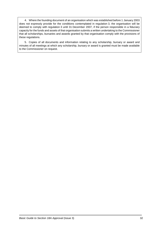4. Where the founding document of an organisation which was established before 1 January 2003 does not expressly provide for the conditions contemplated in regulation 3, the organisation will be deemed to comply with regulation 3 until 31 December 2007, if the person responsible in a fiduciary capacity for the funds and assets of that organisation submits a written undertaking to the Commissioner that all scholarships, bursaries and awards granted by that organisation comply with the provisions of these regulations.

5. Copies of all documents and information relating to any scholarship, bursary or award and minutes of all meetings at which any scholarship, bursary or award is granted must be made available to the Commissioner on request.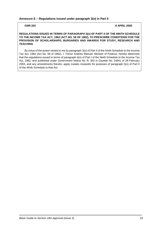#### <span id="page-37-0"></span>**Annexure E – Regulations issued under paragraph 3(***o***) in Part II**

**GNR.333 8 APRIL 2005**

#### **REGULATIONS ISSUED IN TERMS OF PARAGRAPH 3(***o***) OF PART II OF THE NINTH SCHEDULE TO THE INCOME TAX ACT, 1962 (ACT NO. 58 OF 1962), TO PRESCRIBE CONDITIONS FOR THE PROVISION OF SCHOLARSHIPS, BURSARIES AND AWARDS FOR STUDY, RESEARCH AND TEACHING**

By virtue of the power vested in me by paragraph 3(*o*) of Part II of the Ninth Schedule to the Income Tax Act, 1962 (Act No. 58 of 1962), I, Trevor Andrew Manuel, Minister of Finance, hereby determine that the regulations issued in terms of paragraph 4(*o*) of Part I of the Ninth Schedule to the Income Tax Act, 1962, and published under Government Notice No. R. 302 in *Gazette* No. 24941 of 28 February 2003, and any amendments thereto, apply *mutatis mutandis* for purposes of paragraph 3(*o*) of Part II of the Ninth Schedule to that Act.